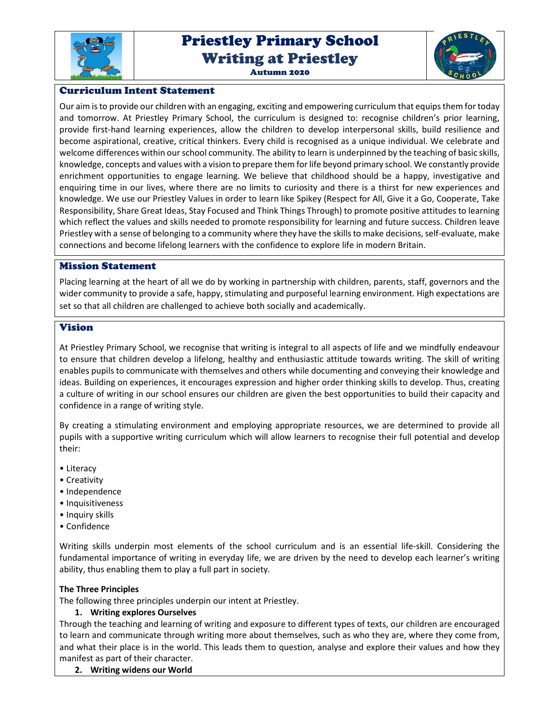

# Priestley Primary School Writing at Priestley





### Curriculum Intent Statement

Our aim is to provide our children with an engaging, exciting and empowering curriculum that equips them for today and tomorrow. At Priestley Primary School, the curriculum is designed to: recognise children's prior learning, provide first-hand learning experiences, allow the children to develop interpersonal skills, build resilience and become aspirational, creative, critical thinkers. Every child is recognised as a unique individual. We celebrate and welcome differences within our school community. The ability to learn is underpinned by the teaching of basic skills, knowledge, concepts and values with a vision to prepare them for life beyond primary school. We constantly provide enrichment opportunities to engage learning. We believe that childhood should be a happy, investigative and enquiring time in our lives, where there are no limits to curiosity and there is a thirst for new experiences and knowledge. We use our Priestley Values in order to learn like Spikey (Respect for All, Give it a Go, Cooperate, Take Responsibility, Share Great Ideas, Stay Focused and Think Things Through) to promote positive attitudes to learning which reflect the values and skills needed to promote responsibility for learning and future success. Children leave Priestley with a sense of belonging to a community where they have the skills to make decisions, self-evaluate, make connections and become lifelong learners with the confidence to explore life in modern Britain.

#### Mission Statement

Placing learning at the heart of all we do by working in partnership with children, parents, staff, governors and the wider community to provide a safe, happy, stimulating and purposeful learning environment. High expectations are set so that all children are challenged to achieve both socially and academically.

#### Vision

At Priestley Primary School, we recognise that writing is integral to all aspects of life and we mindfully endeavour to ensure that children develop a lifelong, healthy and enthusiastic attitude towards writing. The skill of writing enables pupils to communicate with themselves and others while documenting and conveying their knowledge and ideas. Building on experiences, it encourages expression and higher order thinking skills to develop. Thus, creating a culture of writing in our school ensures our children are given the best opportunities to build their capacity and confidence in a range of writing style.

By creating a stimulating environment and employing appropriate resources, we are determined to provide all pupils with a supportive writing curriculum which will allow learners to recognise their full potential and develop their:

- Literacy
- Creativity
- Independence
- Inquisitiveness
- Inquiry skills
- Confidence

Writing skills underpin most elements of the school curriculum and is an essential life-skill. Considering the fundamental importance of writing in everyday life, we are driven by the need to develop each learner's writing ability, thus enabling them to play a full part in society.

#### **The Three Principles**

The following three principles underpin our intent at Priestley.

#### **1. Writing explores Ourselves**

Through the teaching and learning of writing and exposure to different types of texts, our children are encouraged to learn and communicate through writing more about themselves, such as who they are, where they come from, and what their place is in the world. This leads them to question, analyse and explore their values and how they manifest as part of their character.

**2. Writing widens our World**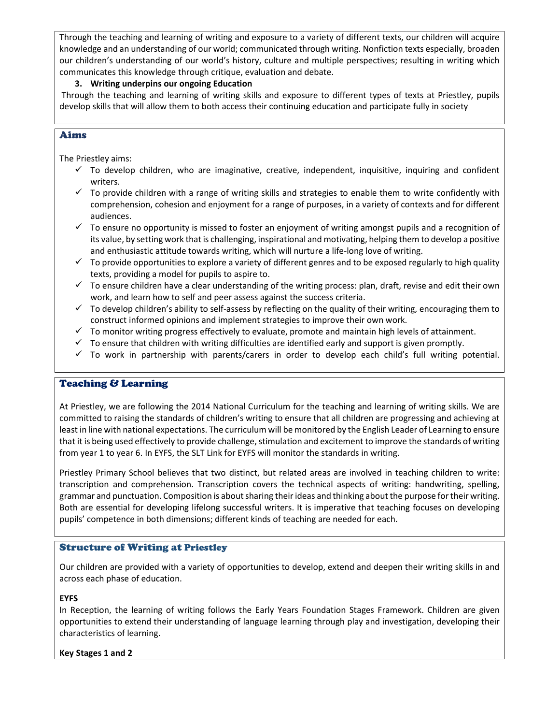Through the teaching and learning of writing and exposure to a variety of different texts, our children will acquire knowledge and an understanding of our world; communicated through writing. Nonfiction texts especially, broaden our children's understanding of our world's history, culture and multiple perspectives; resulting in writing which communicates this knowledge through critique, evaluation and debate.

#### **3. Writing underpins our ongoing Education**

 Through the teaching and learning of writing skills and exposure to different types of texts at Priestley, pupils develop skills that will allow them to both access their continuing education and participate fully in society

## Aims

The Priestley aims:

- $\checkmark$  To develop children, who are imaginative, creative, independent, inquisitive, inquiring and confident writers.
- $\checkmark$  To provide children with a range of writing skills and strategies to enable them to write confidently with comprehension, cohesion and enjoyment for a range of purposes, in a variety of contexts and for different audiences.
- $\checkmark$  To ensure no opportunity is missed to foster an enjoyment of writing amongst pupils and a recognition of its value, by setting work that is challenging, inspirational and motivating, helping them to develop a positive and enthusiastic attitude towards writing, which will nurture a life-long love of writing.
- $\checkmark$  To provide opportunities to explore a variety of different genres and to be exposed regularly to high quality texts, providing a model for pupils to aspire to.
- $\checkmark$  To ensure children have a clear understanding of the writing process: plan, draft, revise and edit their own work, and learn how to self and peer assess against the success criteria.
- $\checkmark$  To develop children's ability to self-assess by reflecting on the quality of their writing, encouraging them to construct informed opinions and implement strategies to improve their own work.
- $\checkmark$  To monitor writing progress effectively to evaluate, promote and maintain high levels of attainment.
- $\checkmark$  To ensure that children with writing difficulties are identified early and support is given promptly.
- $\checkmark$  To work in partnership with parents/carers in order to develop each child's full writing potential.

#### Teaching & Learning

At Priestley, we are following the 2014 National Curriculum for the teaching and learning of writing skills. We are committed to raising the standards of children's writing to ensure that all children are progressing and achieving at least in line with national expectations. The curriculum will be monitored by the English Leader of Learning to ensure that it is being used effectively to provide challenge, stimulation and excitement to improve the standards of writing from year 1 to year 6. In EYFS, the SLT Link for EYFS will monitor the standards in writing.

Priestley Primary School believes that two distinct, but related areas are involved in teaching children to write: transcription and comprehension. Transcription covers the technical aspects of writing: handwriting, spelling, grammar and punctuation. Composition is about sharing their ideas and thinking about the purpose for their writing. Both are essential for developing lifelong successful writers. It is imperative that teaching focuses on developing pupils' competence in both dimensions; different kinds of teaching are needed for each.

#### Structure of Writing at Priestley

Our children are provided with a variety of opportunities to develop, extend and deepen their writing skills in and across each phase of education.

#### **EYFS**

In Reception, the learning of writing follows the Early Years Foundation Stages Framework. Children are given opportunities to extend their understanding of language learning through play and investigation, developing their characteristics of learning.

#### **Key Stages 1 and 2**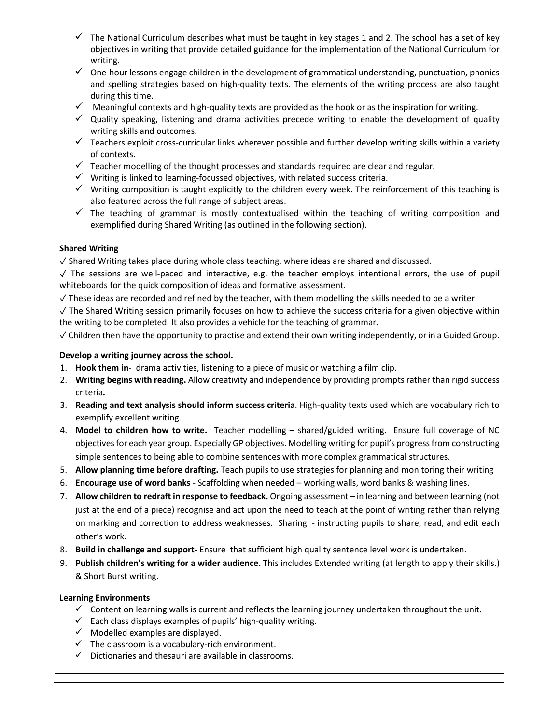- The National Curriculum describes what must be taught in key stages 1 and 2. The school has a set of key objectives in writing that provide detailed guidance for the implementation of the National Curriculum for writing.
- $\checkmark$  One-hour lessons engage children in the development of grammatical understanding, punctuation, phonics and spelling strategies based on high-quality texts. The elements of the writing process are also taught during this time.
- $\checkmark$  Meaningful contexts and high-quality texts are provided as the hook or as the inspiration for writing.
- $\checkmark$  Quality speaking, listening and drama activities precede writing to enable the development of quality writing skills and outcomes.
- $\checkmark$  Teachers exploit cross-curricular links wherever possible and further develop writing skills within a variety of contexts.
- $\checkmark$  Teacher modelling of the thought processes and standards required are clear and regular.
- $\checkmark$  Writing is linked to learning-focussed objectives, with related success criteria.
- $\checkmark$  Writing composition is taught explicitly to the children every week. The reinforcement of this teaching is also featured across the full range of subject areas.
- $\checkmark$  The teaching of grammar is mostly contextualised within the teaching of writing composition and exemplified during Shared Writing (as outlined in the following section).

## **Shared Writing**

✓ Shared Writing takes place during whole class teaching, where ideas are shared and discussed.

 $\sqrt{ }$  The sessions are well-paced and interactive, e.g. the teacher employs intentional errors, the use of pupil whiteboards for the quick composition of ideas and formative assessment.

- $\sqrt{ }$  These ideas are recorded and refined by the teacher, with them modelling the skills needed to be a writer.
- ✓ The Shared Writing session primarily focuses on how to achieve the success criteria for a given objective within the writing to be completed. It also provides a vehicle for the teaching of grammar.

✓ Children then have the opportunity to practise and extend their own writing independently, or in a Guided Group.

## **Develop a writing journey across the school.**

- 1. **Hook them in** drama activities, listening to a piece of music or watching a film clip.
- 2. **Writing begins with reading.** Allow creativity and independence by providing prompts rather than rigid success criteria**.**
- 3. **Reading and text analysis should inform success criteria**. High-quality texts used which are vocabulary rich to exemplify excellent writing.
- 4. **Model to children how to write.** Teacher modelling shared/guided writing. Ensure full coverage of NC objectives for each year group. Especially GP objectives. Modelling writing for pupil's progress from constructing simple sentences to being able to combine sentences with more complex grammatical structures.
- 5. **Allow planning time before drafting.** Teach pupils to use strategies for planning and monitoring their writing
- 6. **Encourage use of word banks** Scaffolding when needed working walls, word banks & washing lines.
- 7. **Allow children to redraft in response to feedback.** Ongoing assessment in learning and between learning (not just at the end of a piece) recognise and act upon the need to teach at the point of writing rather than relying on marking and correction to address weaknesses. Sharing. - instructing pupils to share, read, and edit each other's work.
- 8. **Build in challenge and support-** Ensure that sufficient high quality sentence level work is undertaken.
- 9. **Publish children's writing for a wider audience.** This includes Extended writing (at length to apply their skills.) & Short Burst writing.

#### **Learning Environments**

- $\checkmark$  Content on learning walls is current and reflects the learning journey undertaken throughout the unit.
- $\checkmark$  Each class displays examples of pupils' high-quality writing.
- $\checkmark$  Modelled examples are displayed.
- $\checkmark$  The classroom is a vocabulary-rich environment.
- $\checkmark$  Dictionaries and thesauri are available in classrooms.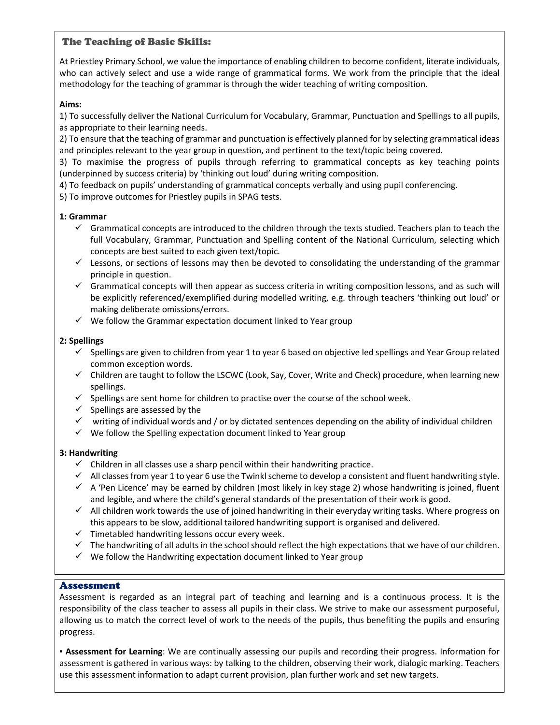## The Teaching of Basic Skills:

At Priestley Primary School, we value the importance of enabling children to become confident, literate individuals, who can actively select and use a wide range of grammatical forms. We work from the principle that the ideal methodology for the teaching of grammar is through the wider teaching of writing composition.

#### **Aims:**

1) To successfully deliver the National Curriculum for Vocabulary, Grammar, Punctuation and Spellings to all pupils, as appropriate to their learning needs.

2) To ensure that the teaching of grammar and punctuation is effectively planned for by selecting grammatical ideas and principles relevant to the year group in question, and pertinent to the text/topic being covered.

3) To maximise the progress of pupils through referring to grammatical concepts as key teaching points (underpinned by success criteria) by 'thinking out loud' during writing composition.

4) To feedback on pupils' understanding of grammatical concepts verbally and using pupil conferencing.

5) To improve outcomes for Priestley pupils in SPAG tests.

#### **1: Grammar**

- $\checkmark$  Grammatical concepts are introduced to the children through the texts studied. Teachers plan to teach the full Vocabulary, Grammar, Punctuation and Spelling content of the National Curriculum, selecting which concepts are best suited to each given text/topic.
- $\checkmark$  Lessons, or sections of lessons may then be devoted to consolidating the understanding of the grammar principle in question.
- $\checkmark$  Grammatical concepts will then appear as success criteria in writing composition lessons, and as such will be explicitly referenced/exemplified during modelled writing, e.g. through teachers 'thinking out loud' or making deliberate omissions/errors.
- $\checkmark$  We follow the Grammar expectation document linked to Year group

#### **2: Spellings**

- $\checkmark$  Spellings are given to children from year 1 to year 6 based on objective led spellings and Year Group related common exception words.
- $\checkmark$  Children are taught to follow the LSCWC (Look, Say, Cover, Write and Check) procedure, when learning new spellings.
- $\checkmark$  Spellings are sent home for children to practise over the course of the school week.
- $\checkmark$  Spellings are assessed by the
- $\checkmark$  writing of individual words and / or by dictated sentences depending on the ability of individual children
- $\checkmark$  We follow the Spelling expectation document linked to Year group

#### **3: Handwriting**

- $\checkmark$  Children in all classes use a sharp pencil within their handwriting practice.
- $\checkmark$  All classes from year 1 to year 6 use the Twinkl scheme to develop a consistent and fluent handwriting style.
- $\checkmark$  A 'Pen Licence' may be earned by children (most likely in key stage 2) whose handwriting is joined, fluent and legible, and where the child's general standards of the presentation of their work is good.
- $\checkmark$  All children work towards the use of joined handwriting in their everyday writing tasks. Where progress on this appears to be slow, additional tailored handwriting support is organised and delivered.
- $\checkmark$  Timetabled handwriting lessons occur every week.
- $\checkmark$  The handwriting of all adults in the school should reflect the high expectations that we have of our children.
- $\checkmark$  We follow the Handwriting expectation document linked to Year group

#### Assessment

Assessment is regarded as an integral part of teaching and learning and is a continuous process. It is the responsibility of the class teacher to assess all pupils in their class. We strive to make our assessment purposeful, allowing us to match the correct level of work to the needs of the pupils, thus benefiting the pupils and ensuring progress.

**▪ Assessment for Learning**: We are continually assessing our pupils and recording their progress. Information for assessment is gathered in various ways: by talking to the children, observing their work, dialogic marking. Teachers use this assessment information to adapt current provision, plan further work and set new targets.